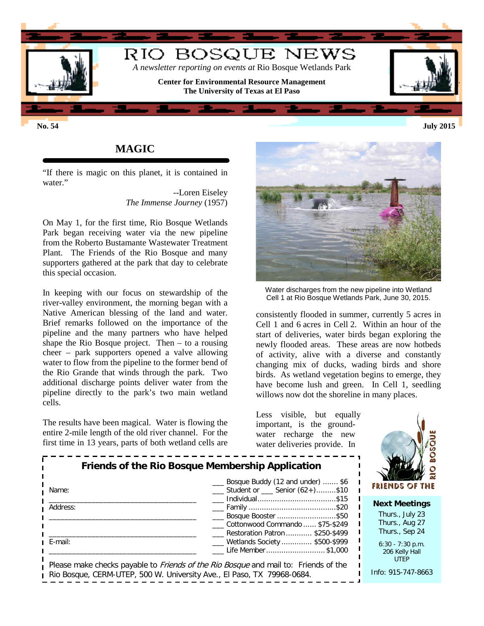

**No. 54 July 2015**

## **MAGIC**

"If there is magic on this planet, it is contained in water."

> --Loren Eiseley *The Immense Journey* (1957)

On May 1, for the first time, Rio Bosque Wetlands Park began receiving water via the new pipeline from the Roberto Bustamante Wastewater Treatment Plant. The Friends of the Rio Bosque and many supporters gathered at the park that day to celebrate this special occasion.

In keeping with our focus on stewardship of the river-valley environment, the morning began with a Native American blessing of the land and water. Brief remarks followed on the importance of the pipeline and the many partners who have helped shape the Rio Bosque project. Then – to a rousing cheer – park supporters opened a valve allowing water to flow from the pipeline to the former bend of the Rio Grande that winds through the park. Two additional discharge points deliver water from the pipeline directly to the park's two main wetland cells.

The results have been magical. Water is flowing the entire 2-mile length of the old river channel. For the first time in 13 years, parts of both wetland cells are



Water discharges from the new pipeline into Wetland Cell 1 at Rio Bosque Wetlands Park, June 30, 2015.

consistently flooded in summer, currently 5 acres in Cell 1 and 6 acres in Cell 2. Within an hour of the start of deliveries, water birds began exploring the newly flooded areas. These areas are now hotbeds of activity, alive with a diverse and constantly changing mix of ducks, wading birds and shore birds. As wetland vegetation begins to emerge, they have become lush and green. In Cell 1, seedling willows now dot the shoreline in many places.

Less visible, but equally important, is the groundwater recharge the new water deliveries provide. In



| Friends of the Rio Bosque Membership Application<br>Name:              | <b>FRIENDS OF THE</b>                                                                      |                      |  |
|------------------------------------------------------------------------|--------------------------------------------------------------------------------------------|----------------------|--|
|                                                                        |                                                                                            | <b>Next Meetings</b> |  |
| Address:                                                               | Bosque Booster \$50                                                                        | Thurs., July 23      |  |
|                                                                        | Cottonwood Commando  \$75-\$249                                                            | Thurs., Aug 27       |  |
|                                                                        | Restoration Patron \$250-\$499                                                             | Thurs., Sep 24       |  |
| E-mail:                                                                | <u>__</u> Wetlands Society  \$500-\$999                                                    | $6:30 - 7:30$ p.m.   |  |
|                                                                        | Life Member \$1,000                                                                        | 206 Kelly Hall       |  |
|                                                                        | Please make checks payable to <i>Friends of the Rio Bosque</i> and mail to: Friends of the | <b>UTEP</b>          |  |
| Rio Bosque, CERM-UTEP, 500 W. University Ave., El Paso, TX 79968-0684. | Info: 915-747-8663                                                                         |                      |  |